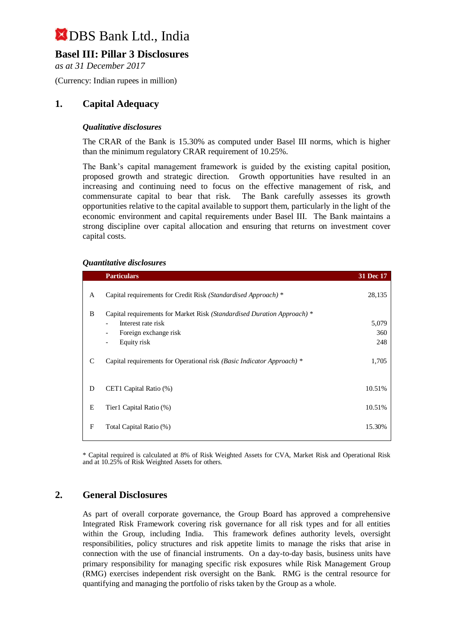## **Basel III: Pillar 3 Disclosures**

*as at 31 December 2017*

(Currency: Indian rupees in million)

## **1. Capital Adequacy**

#### *Qualitative disclosures*

The CRAR of the Bank is 15.30% as computed under Basel III norms, which is higher than the minimum regulatory CRAR requirement of 10.25%.

The Bank's capital management framework is guided by the existing capital position, proposed growth and strategic direction. Growth opportunities have resulted in an increasing and continuing need to focus on the effective management of risk, and commensurate capital to bear that risk. The Bank carefully assesses its growth opportunities relative to the capital available to support them, particularly in the light of the economic environment and capital requirements under Basel III. The Bank maintains a strong discipline over capital allocation and ensuring that returns on investment cover capital costs.

#### *Quantitative disclosures*

|              | <b>Particulars</b>                                                      | 31 Dec 17 |
|--------------|-------------------------------------------------------------------------|-----------|
| A            | Capital requirements for Credit Risk (Standardised Approach) *          | 28,135    |
| B            | Capital requirements for Market Risk (Standardised Duration Approach) * |           |
|              | Interest rate risk                                                      | 5,079     |
|              | Foreign exchange risk<br>$\overline{\phantom{a}}$                       | 360       |
|              | Equity risk<br>$\overline{\phantom{a}}$                                 | 248       |
| C            | Capital requirements for Operational risk (Basic Indicator Approach) *  | 1,705     |
| D            | CET1 Capital Ratio (%)                                                  | 10.51%    |
| E            | Tier1 Capital Ratio (%)                                                 | 10.51%    |
| $\mathbf{F}$ | Total Capital Ratio (%)                                                 | 15.30%    |
|              |                                                                         |           |

\* Capital required is calculated at 8% of Risk Weighted Assets for CVA, Market Risk and Operational Risk and at 10.25% of Risk Weighted Assets for others.

### **2. General Disclosures**

As part of overall corporate governance, the Group Board has approved a comprehensive Integrated Risk Framework covering risk governance for all risk types and for all entities within the Group, including India. This framework defines authority levels, oversight responsibilities, policy structures and risk appetite limits to manage the risks that arise in connection with the use of financial instruments. On a day-to-day basis, business units have primary responsibility for managing specific risk exposures while Risk Management Group (RMG) exercises independent risk oversight on the Bank. RMG is the central resource for quantifying and managing the portfolio of risks taken by the Group as a whole.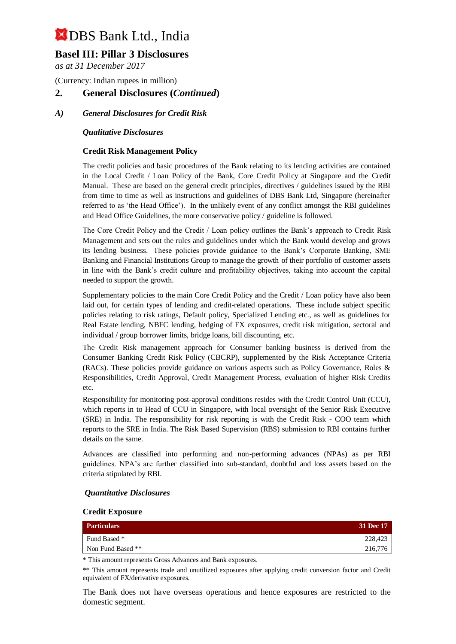## **Basel III: Pillar 3 Disclosures**

*as at 31 December 2017*

(Currency: Indian rupees in million)

#### **2. General Disclosures (***Continued***)**

#### *A) General Disclosures for Credit Risk*

#### *Qualitative Disclosures*

#### **Credit Risk Management Policy**

The credit policies and basic procedures of the Bank relating to its lending activities are contained in the Local Credit / Loan Policy of the Bank, Core Credit Policy at Singapore and the Credit Manual. These are based on the general credit principles, directives / guidelines issued by the RBI from time to time as well as instructions and guidelines of DBS Bank Ltd, Singapore (hereinafter referred to as 'the Head Office'). In the unlikely event of any conflict amongst the RBI guidelines and Head Office Guidelines, the more conservative policy / guideline is followed.

The Core Credit Policy and the Credit / Loan policy outlines the Bank's approach to Credit Risk Management and sets out the rules and guidelines under which the Bank would develop and grows its lending business. These policies provide guidance to the Bank's Corporate Banking, SME Banking and Financial Institutions Group to manage the growth of their portfolio of customer assets in line with the Bank's credit culture and profitability objectives, taking into account the capital needed to support the growth.

Supplementary policies to the main Core Credit Policy and the Credit / Loan policy have also been laid out, for certain types of lending and credit-related operations. These include subject specific policies relating to risk ratings, Default policy, Specialized Lending etc., as well as guidelines for Real Estate lending, NBFC lending, hedging of FX exposures, credit risk mitigation, sectoral and individual / group borrower limits, bridge loans, bill discounting, etc.

The Credit Risk management approach for Consumer banking business is derived from the Consumer Banking Credit Risk Policy (CBCRP), supplemented by the Risk Acceptance Criteria (RACs). These policies provide guidance on various aspects such as Policy Governance, Roles & Responsibilities, Credit Approval, Credit Management Process, evaluation of higher Risk Credits etc.

Responsibility for monitoring post-approval conditions resides with the Credit Control Unit (CCU), which reports in to Head of CCU in Singapore, with local oversight of the Senior Risk Executive (SRE) in India. The responsibility for risk reporting is with the Credit Risk - COO team which reports to the SRE in India. The Risk Based Supervision (RBS) submission to RBI contains further details on the same.

Advances are classified into performing and non-performing advances (NPAs) as per RBI guidelines. NPA's are further classified into sub-standard, doubtful and loss assets based on the criteria stipulated by RBI.

#### *Quantitative Disclosures*

#### **Credit Exposure**

| <b>Particulars</b> | 31 Dec 17 |
|--------------------|-----------|
| Fund Based *       | 228,423   |
| Non Fund Based **  | 216,776   |

\* This amount represents Gross Advances and Bank exposures.

\*\* This amount represents trade and unutilized exposures after applying credit conversion factor and Credit equivalent of FX/derivative exposures.

The Bank does not have overseas operations and hence exposures are restricted to the domestic segment.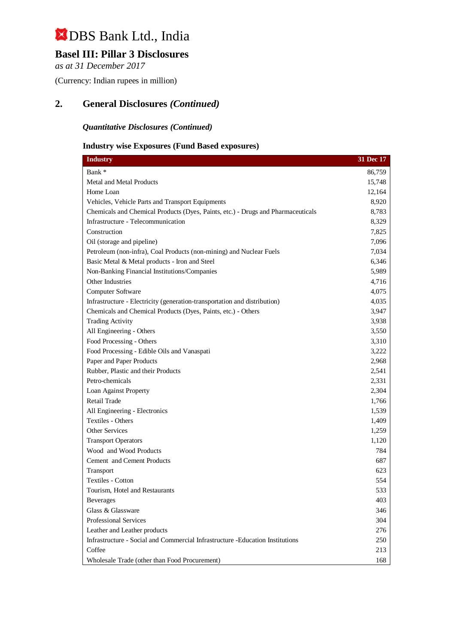## **Basel III: Pillar 3 Disclosures**

*as at 31 December 2017*

(Currency: Indian rupees in million)

## **2. General Disclosures** *(Continued)*

## *Quantitative Disclosures (Continued)*

### **Industry wise Exposures (Fund Based exposures)**

| <b>Industry</b>                                                                  | 31 Dec 17 |
|----------------------------------------------------------------------------------|-----------|
| Bank*                                                                            | 86,759    |
| Metal and Metal Products                                                         | 15,748    |
| Home Loan                                                                        | 12,164    |
| Vehicles, Vehicle Parts and Transport Equipments                                 | 8,920     |
| Chemicals and Chemical Products (Dyes, Paints, etc.) - Drugs and Pharmaceuticals | 8,783     |
| Infrastructure - Telecommunication                                               | 8,329     |
| Construction                                                                     | 7,825     |
| Oil (storage and pipeline)                                                       | 7,096     |
| Petroleum (non-infra), Coal Products (non-mining) and Nuclear Fuels              | 7,034     |
| Basic Metal & Metal products - Iron and Steel                                    | 6,346     |
| Non-Banking Financial Institutions/Companies                                     | 5,989     |
| Other Industries                                                                 | 4,716     |
| Computer Software                                                                | 4,075     |
| Infrastructure - Electricity (generation-transportation and distribution)        | 4,035     |
| Chemicals and Chemical Products (Dyes, Paints, etc.) - Others                    | 3,947     |
| <b>Trading Activity</b>                                                          | 3,938     |
| All Engineering - Others                                                         | 3,550     |
| Food Processing - Others                                                         | 3,310     |
| Food Processing - Edible Oils and Vanaspati                                      | 3,222     |
| Paper and Paper Products                                                         | 2,968     |
| Rubber, Plastic and their Products                                               | 2,541     |
| Petro-chemicals                                                                  | 2,331     |
| Loan Against Property                                                            | 2,304     |
| Retail Trade                                                                     | 1,766     |
| All Engineering - Electronics                                                    | 1,539     |
| Textiles - Others                                                                | 1,409     |
| Other Services                                                                   | 1,259     |
| <b>Transport Operators</b>                                                       | 1,120     |
| Wood and Wood Products                                                           | 784       |
| Cement and Cement Products                                                       | 687       |
| Transport                                                                        | 623       |
| <b>Textiles - Cotton</b>                                                         | 554       |
| Tourism. Hotel and Restaurants                                                   | 533       |
| <b>Beverages</b>                                                                 | 403       |
| Glass & Glassware                                                                | 346       |
| <b>Professional Services</b>                                                     | 304       |
| Leather and Leather products                                                     | 276       |
| Infrastructure - Social and Commercial Infrastructure -Education Institutions    | 250       |
| Coffee                                                                           | 213       |
| Wholesale Trade (other than Food Procurement)                                    | 168       |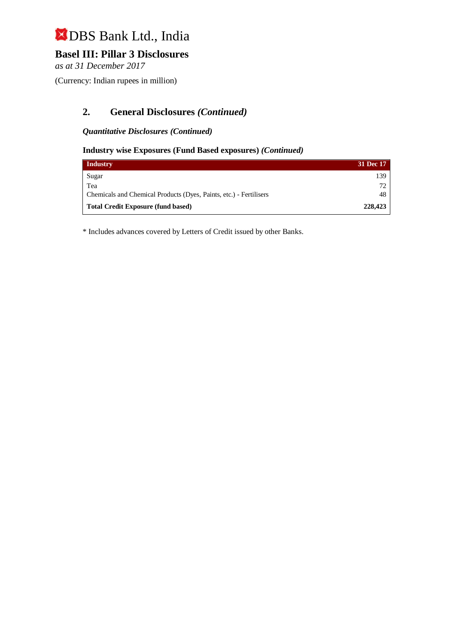## **Basel III: Pillar 3 Disclosures**

*as at 31 December 2017*

(Currency: Indian rupees in million)

## **2. General Disclosures** *(Continued)*

#### *Quantitative Disclosures (Continued)*

#### **Industry wise Exposures (Fund Based exposures)** *(Continued)*

| <b>Industry</b>                                                    | 31 Dec 17 |
|--------------------------------------------------------------------|-----------|
| Sugar                                                              | 139       |
| Tea                                                                | 72        |
| Chemicals and Chemical Products (Dyes, Paints, etc.) - Fertilisers | 48        |
| <b>Total Credit Exposure (fund based)</b>                          | 228,423   |

\* Includes advances covered by Letters of Credit issued by other Banks.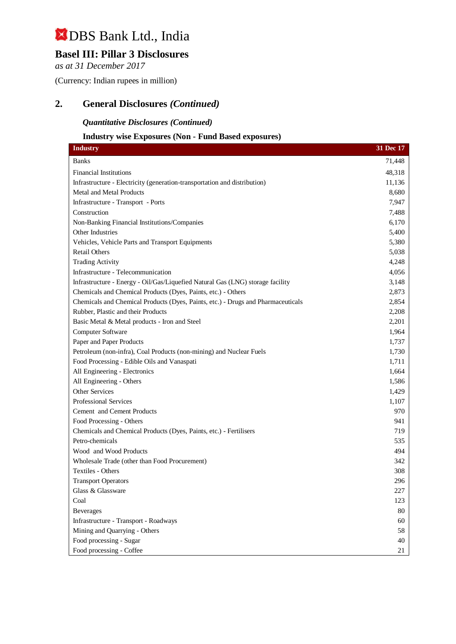## **Basel III: Pillar 3 Disclosures**

*as at 31 December 2017*

(Currency: Indian rupees in million)

## **2. General Disclosures** *(Continued)*

#### *Quantitative Disclosures (Continued)*

## **Industry wise Exposures (Non - Fund Based exposures)**

| <b>Industry</b>                                                                  | 31 Dec 17 |
|----------------------------------------------------------------------------------|-----------|
| <b>Banks</b>                                                                     | 71,448    |
| <b>Financial Institutions</b>                                                    | 48,318    |
| Infrastructure - Electricity (generation-transportation and distribution)        | 11,136    |
| Metal and Metal Products                                                         | 8,680     |
| Infrastructure - Transport - Ports                                               | 7,947     |
| Construction                                                                     | 7,488     |
| Non-Banking Financial Institutions/Companies                                     | 6,170     |
| Other Industries                                                                 | 5,400     |
| Vehicles, Vehicle Parts and Transport Equipments                                 | 5,380     |
| <b>Retail Others</b>                                                             | 5,038     |
| <b>Trading Activity</b>                                                          | 4,248     |
| Infrastructure - Telecommunication                                               | 4,056     |
| Infrastructure - Energy - Oil/Gas/Liquefied Natural Gas (LNG) storage facility   | 3,148     |
| Chemicals and Chemical Products (Dyes, Paints, etc.) - Others                    | 2,873     |
| Chemicals and Chemical Products (Dyes, Paints, etc.) - Drugs and Pharmaceuticals | 2,854     |
| Rubber, Plastic and their Products                                               | 2,208     |
| Basic Metal & Metal products - Iron and Steel                                    | 2,201     |
| Computer Software                                                                | 1,964     |
| Paper and Paper Products                                                         | 1,737     |
| Petroleum (non-infra), Coal Products (non-mining) and Nuclear Fuels              | 1,730     |
| Food Processing - Edible Oils and Vanaspati                                      | 1,711     |
| All Engineering - Electronics                                                    | 1,664     |
| All Engineering - Others                                                         | 1,586     |
| <b>Other Services</b>                                                            | 1,429     |
| <b>Professional Services</b>                                                     | 1,107     |
| Cement and Cement Products                                                       | 970       |
| Food Processing - Others                                                         | 941       |
| Chemicals and Chemical Products (Dyes, Paints, etc.) - Fertilisers               | 719       |
| Petro-chemicals                                                                  | 535       |
| Wood and Wood Products                                                           | 494       |
| Wholesale Trade (other than Food Procurement)                                    | 342       |
| Textiles - Others                                                                | 308       |
| <b>Transport Operators</b>                                                       | 296       |
| Glass & Glassware                                                                | 227       |
| Coal                                                                             | 123       |
| <b>Beverages</b>                                                                 | 80        |
| Infrastructure - Transport - Roadways                                            | 60        |
| Mining and Quarrying - Others                                                    | 58        |
| Food processing - Sugar                                                          | 40        |
| Food processing - Coffee                                                         | 21        |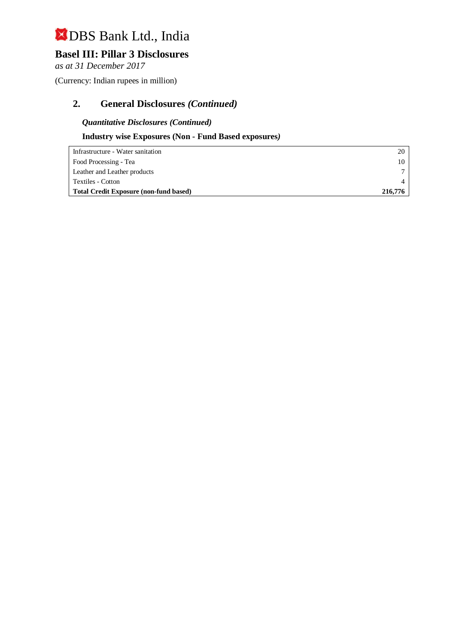## **Basel III: Pillar 3 Disclosures**

*as at 31 December 2017*

(Currency: Indian rupees in million)

## **2. General Disclosures** *(Continued)*

*Quantitative Disclosures (Continued)*

## **Industry wise Exposures (Non - Fund Based exposures***)*

| Infrastructure - Water sanitation             | 20      |
|-----------------------------------------------|---------|
| Food Processing - Tea                         |         |
| Leather and Leather products                  |         |
| Textiles - Cotton                             |         |
| <b>Total Credit Exposure (non-fund based)</b> | 216,776 |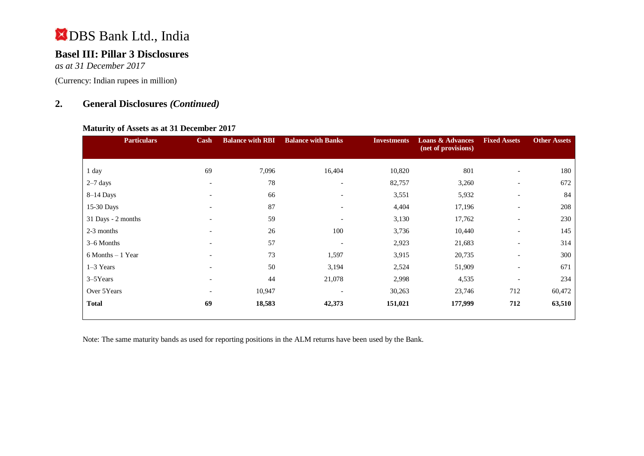## **Basel III: Pillar 3 Disclosures**

*as at 31 December 2017*

(Currency: Indian rupees in million)

## **2. General Disclosures** *(Continued)*

#### **Maturity of Assets as at 31 December 2017**

| <b>Particulars</b>   | Cash                         | <b>Balance with RBI</b> | <b>Balance with Banks</b> | <b>Investments</b> | <b>Loans &amp; Advances</b><br>(net of provisions) | <b>Fixed Assets</b>      | <b>Other Assets</b> |
|----------------------|------------------------------|-------------------------|---------------------------|--------------------|----------------------------------------------------|--------------------------|---------------------|
| 1 day                | 69                           | 7,096                   | 16,404                    | 10,820             | 801                                                | $\overline{\phantom{a}}$ | 180                 |
| $2-7$ days           | $\overline{\phantom{a}}$     | 78                      |                           | 82,757             | 3,260                                              | $\overline{\phantom{a}}$ | 672                 |
| $8-14$ Days          | $\overline{\phantom{a}}$     | 66                      | $\overline{\phantom{a}}$  | 3,551              | 5,932                                              | $\overline{\phantom{a}}$ | 84                  |
| 15-30 Days           | $\qquad \qquad \blacksquare$ | 87                      |                           | 4,404              | 17,196                                             | $\overline{\phantom{a}}$ | 208                 |
| 31 Days - 2 months   | $\overline{\phantom{0}}$     | 59                      |                           | 3,130              | 17,762                                             | $\overline{\phantom{a}}$ | 230                 |
| 2-3 months           | $\overline{\phantom{0}}$     | 26                      | 100                       | 3,736              | 10,440                                             | $\overline{\phantom{a}}$ | 145                 |
| 3–6 Months           | $\overline{\phantom{0}}$     | 57                      |                           | 2,923              | 21,683                                             | $\overline{\phantom{a}}$ | 314                 |
| $6$ Months $-1$ Year | $\overline{\phantom{0}}$     | 73                      | 1,597                     | 3,915              | 20,735                                             | $\overline{\phantom{a}}$ | 300                 |
| $1-3$ Years          | $\qquad \qquad \blacksquare$ | 50                      | 3,194                     | 2,524              | 51,909                                             | $\overline{\phantom{a}}$ | 671                 |
| $3 - 5$ Years        | $\overline{\phantom{a}}$     | 44                      | 21,078                    | 2,998              | 4,535                                              | $\overline{\phantom{a}}$ | 234                 |
| Over 5Years          | $\overline{\phantom{0}}$     | 10,947                  |                           | 30,263             | 23,746                                             | 712                      | 60,472              |
| <b>Total</b>         | 69                           | 18,583                  | 42,373                    | 151,021            | 177,999                                            | 712                      | 63,510              |

Note: The same maturity bands as used for reporting positions in the ALM returns have been used by the Bank.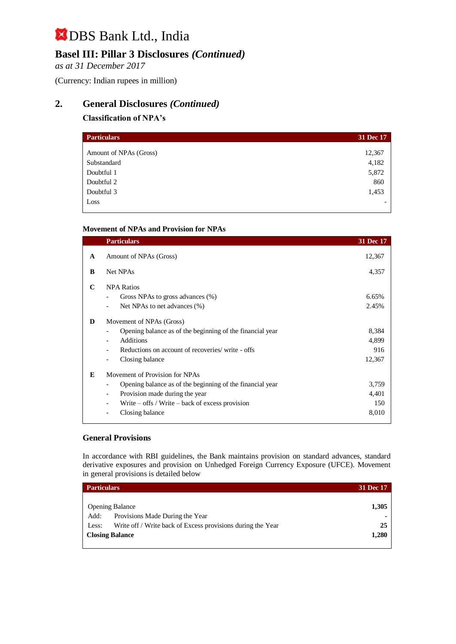## **Basel III: Pillar 3 Disclosures** *(Continued)*

*as at 31 December 2017*

(Currency: Indian rupees in million)

## **2. General Disclosures** *(Continued)*

### **Classification of NPA's**

| <b>Particulars</b>     | 31 Dec 17 |
|------------------------|-----------|
| Amount of NPAs (Gross) | 12,367    |
| Substandard            | 4,182     |
| Doubtful 1             | 5,872     |
| Doubtful 2             | 860       |
| Doubtful 3             | 1,453     |
| Loss                   |           |

#### **Movement of NPAs and Provision for NPAs**

|              | <b>Particulars</b>                                        | 31 Dec 17 |
|--------------|-----------------------------------------------------------|-----------|
| $\mathbf{A}$ | Amount of NPAs (Gross)                                    | 12,367    |
| B            | Net NPAs                                                  | 4,357     |
| C            | <b>NPA Ratios</b>                                         |           |
|              | Gross NPAs to gross advances (%)                          | 6.65%     |
|              | Net NPAs to net advances (%)                              | 2.45%     |
| D            | Movement of NPAs (Gross)                                  |           |
|              | Opening balance as of the beginning of the financial year | 8,384     |
|              | <b>Additions</b>                                          | 4,899     |
|              | Reductions on account of recoveries/ write - offs         | 916       |
|              | Closing balance                                           | 12,367    |
| E            | Movement of Provision for NPAs                            |           |
|              | Opening balance as of the beginning of the financial year | 3,759     |
|              | Provision made during the year                            | 4,401     |
|              | Write $-$ offs / Write $-$ back of excess provision       | 150       |
|              | Closing balance                                           | 8,010     |
|              |                                                           |           |

#### **General Provisions**

In accordance with RBI guidelines, the Bank maintains provision on standard advances, standard derivative exposures and provision on Unhedged Foreign Currency Exposure (UFCE). Movement in general provisions is detailed below

| <b>Particulars</b>                                                   | 31 Dec 17      |
|----------------------------------------------------------------------|----------------|
|                                                                      |                |
| <b>Opening Balance</b>                                               | 1,305          |
| Provisions Made During the Year<br>Add:                              | $\blacksquare$ |
| Write off / Write back of Excess provisions during the Year<br>Less: | 25             |
| <b>Closing Balance</b>                                               | 1,280          |
|                                                                      |                |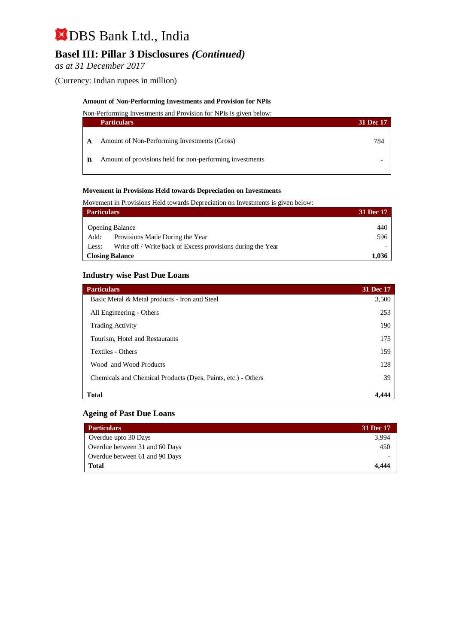## **Basel III: Pillar 3 Disclosures** *(Continued)*

*as at 31 December 2017*

(Currency: Indian rupees in million)

#### **Amount of Non-Performing Investments and Provision for NPIs**

Non-Performing Investments and Provision for NPIs is given below:

|   | <b>Particulars</b>                                       | 31 Dec 17 |
|---|----------------------------------------------------------|-----------|
|   | Amount of Non-Performing Investments (Gross)             | 784       |
| B | Amount of provisions held for non-performing investments |           |

#### **Movement in Provisions Held towards Depreciation on Investments**

Movement in Provisions Held towards Depreciation on Investments is given below:

| <b>Particulars</b>     |                                                             |     |
|------------------------|-------------------------------------------------------------|-----|
|                        |                                                             |     |
|                        | <b>Opening Balance</b>                                      | 440 |
| Add:                   | Provisions Made During the Year                             | 596 |
| Less:                  | Write off / Write back of Excess provisions during the Year |     |
| <b>Closing Balance</b> |                                                             |     |

#### **Industry wise Past Due Loans**

| <b>Particulars</b>                                            | 31 Dec 17 |
|---------------------------------------------------------------|-----------|
| Basic Metal & Metal products - Iron and Steel                 | 3,500     |
| All Engineering - Others                                      | 253       |
| <b>Trading Activity</b>                                       | 190       |
| Tourism, Hotel and Restaurants                                | 175       |
| Textiles - Others                                             | 159       |
| Wood and Wood Products                                        | 128       |
| Chemicals and Chemical Products (Dyes, Paints, etc.) - Others | 39        |
| <b>Total</b>                                                  | 4.444     |

#### **Ageing of Past Due Loans**

| <b>Particulars</b>             | 31 Dec 17 |
|--------------------------------|-----------|
| Overdue upto 30 Days           | 3.994     |
| Overdue between 31 and 60 Days | 450       |
| Overdue between 61 and 90 Days |           |
| Total                          | 4.444     |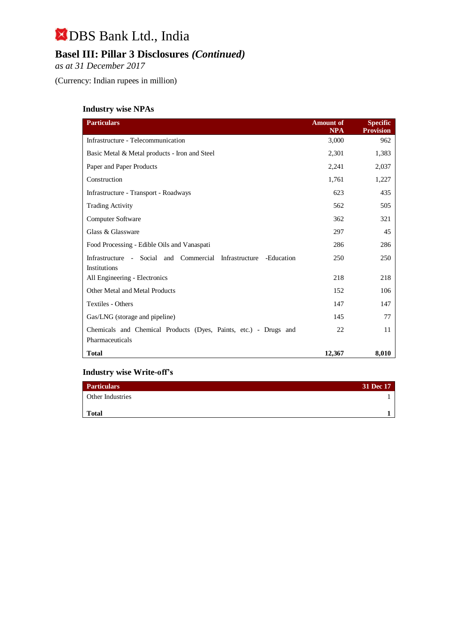## **Basel III: Pillar 3 Disclosures** *(Continued)*

*as at 31 December 2017*

(Currency: Indian rupees in million)

## **Industry wise NPAs**

| <b>Particulars</b>                                                                  | <b>Amount of</b><br>NPA | <b>Specific</b><br><b>Provision</b> |
|-------------------------------------------------------------------------------------|-------------------------|-------------------------------------|
| Infrastructure - Telecommunication                                                  | 3,000                   | 962                                 |
| Basic Metal & Metal products - Iron and Steel                                       | 2,301                   | 1,383                               |
| Paper and Paper Products                                                            | 2,241                   | 2,037                               |
| Construction                                                                        | 1,761                   | 1,227                               |
| Infrastructure - Transport - Roadways                                               | 623                     | 435                                 |
| <b>Trading Activity</b>                                                             | 562                     | 505                                 |
| <b>Computer Software</b>                                                            | 362                     | 321                                 |
| Glass & Glassware                                                                   | 297                     | 45                                  |
| Food Processing - Edible Oils and Vanaspati                                         | 286                     | 286                                 |
| Infrastructure - Social and Commercial Infrastructure<br>-Education<br>Institutions | 250                     | 250                                 |
| All Engineering - Electronics                                                       | 218                     | 218                                 |
| Other Metal and Metal Products                                                      | 152                     | 106                                 |
| Textiles - Others                                                                   | 147                     | 147                                 |
| Gas/LNG (storage and pipeline)                                                      | 145                     | 77                                  |
| Chemicals and Chemical Products (Dyes, Paints, etc.) - Drugs and                    | 22                      | 11                                  |
| Pharmaceuticals                                                                     |                         |                                     |
| <b>Total</b>                                                                        | 12,367                  | 8,010                               |

#### **Industry wise Write-off's**

| <b>Particulars</b>      | 31 Dec 17 |
|-------------------------|-----------|
| <b>Other Industries</b> |           |
| <b>Total</b>            |           |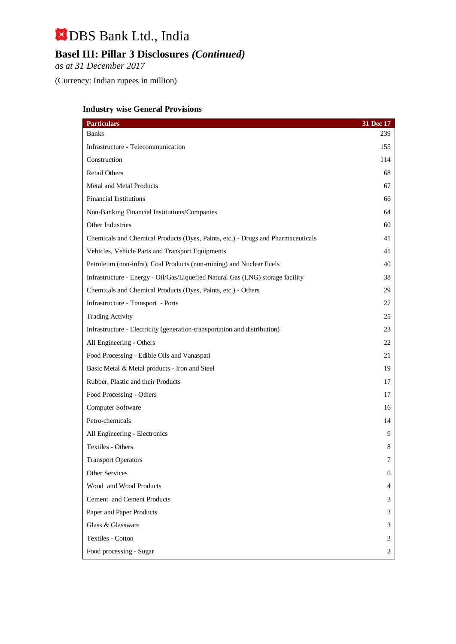## **Basel III: Pillar 3 Disclosures** *(Continued)*

*as at 31 December 2017*

(Currency: Indian rupees in million)

## **Industry wise General Provisions**

| <b>Particulars</b>                                                               | 31 Dec 17 |
|----------------------------------------------------------------------------------|-----------|
| Banks                                                                            | 239       |
| Infrastructure - Telecommunication                                               | 155       |
| Construction                                                                     | 114       |
| <b>Retail Others</b>                                                             | 68        |
| Metal and Metal Products                                                         | 67        |
| <b>Financial Institutions</b>                                                    | 66        |
| Non-Banking Financial Institutions/Companies                                     | 64        |
| Other Industries                                                                 | 60        |
| Chemicals and Chemical Products (Dyes, Paints, etc.) - Drugs and Pharmaceuticals | 41        |
| Vehicles, Vehicle Parts and Transport Equipments                                 | 41        |
| Petroleum (non-infra), Coal Products (non-mining) and Nuclear Fuels              | 40        |
| Infrastructure - Energy - Oil/Gas/Liquefied Natural Gas (LNG) storage facility   | 38        |
| Chemicals and Chemical Products (Dyes, Paints, etc.) - Others                    | 29        |
| Infrastructure - Transport - Ports                                               | 27        |
| <b>Trading Activity</b>                                                          | 25        |
| Infrastructure - Electricity (generation-transportation and distribution)        | 23        |
| All Engineering - Others                                                         | 22        |
| Food Processing - Edible Oils and Vanaspati                                      | 21        |
| Basic Metal & Metal products - Iron and Steel                                    | 19        |
| Rubber, Plastic and their Products                                               | 17        |
| Food Processing - Others                                                         | 17        |
| Computer Software                                                                | 16        |
| Petro-chemicals                                                                  | 14        |
| All Engineering - Electronics                                                    | 9         |
| Textiles - Others                                                                | 8         |
| <b>Transport Operators</b>                                                       | 7         |
| Other Services                                                                   | 6         |
| Wood and Wood Products                                                           | 4         |
| Cement and Cement Products                                                       | 3         |
| Paper and Paper Products                                                         | 3         |
| Glass & Glassware                                                                | 3         |
| Textiles - Cotton                                                                | 3         |
| Food processing - Sugar                                                          | 2         |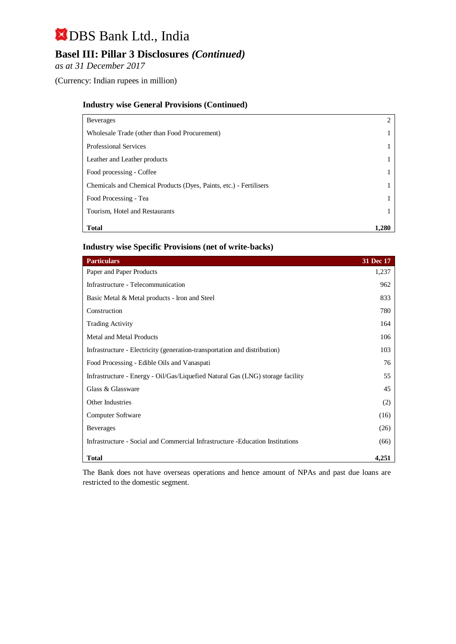## **Basel III: Pillar 3 Disclosures** *(Continued)*

*as at 31 December 2017*

(Currency: Indian rupees in million)

#### **Industry wise General Provisions (Continued)**

| <b>Beverages</b>                                                   | 2     |
|--------------------------------------------------------------------|-------|
| Wholesale Trade (other than Food Procurement)                      |       |
| Professional Services                                              |       |
| Leather and Leather products                                       |       |
| Food processing - Coffee                                           |       |
| Chemicals and Chemical Products (Dyes, Paints, etc.) - Fertilisers |       |
| Food Processing - Tea                                              |       |
| Tourism, Hotel and Restaurants                                     |       |
| <b>Total</b>                                                       | 1.280 |

#### **Industry wise Specific Provisions (net of write-backs)**

| <b>Particulars</b>                                                             | 31 Dec 17 |
|--------------------------------------------------------------------------------|-----------|
| Paper and Paper Products                                                       | 1,237     |
| Infrastructure - Telecommunication                                             | 962       |
| Basic Metal & Metal products - Iron and Steel                                  | 833       |
| Construction                                                                   | 780       |
| <b>Trading Activity</b>                                                        | 164       |
| <b>Metal and Metal Products</b>                                                | 106       |
| Infrastructure - Electricity (generation-transportation and distribution)      | 103       |
| Food Processing - Edible Oils and Vanaspati                                    | 76        |
| Infrastructure - Energy - Oil/Gas/Liquefied Natural Gas (LNG) storage facility | 55        |
| Glass & Glassware                                                              | 45        |
| Other Industries                                                               | (2)       |
| Computer Software                                                              | (16)      |
| <b>Beverages</b>                                                               | (26)      |
| Infrastructure - Social and Commercial Infrastructure - Education Institutions | (66)      |
| <b>Total</b>                                                                   | 4,251     |

The Bank does not have overseas operations and hence amount of NPAs and past due loans are restricted to the domestic segment.